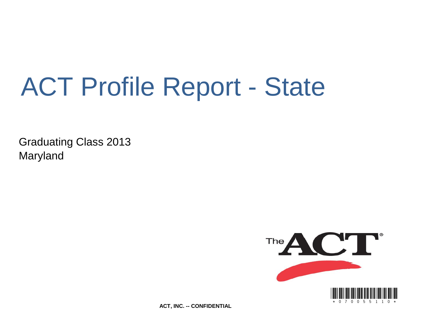# ACT Profile Report - State

Graduating Class 2013 Maryland



**ACT, INC. -- CONFIDENTIAL**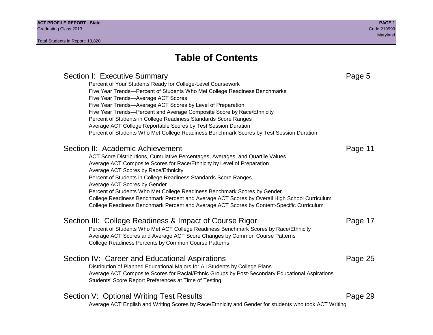### Section I: Executive Summary **Page 5** and the section I: Executive Summary Percent of Your Students Ready for College-Level Coursework Five Year Trends—Percent of Students Who Met College Readiness Benchmarks Five Year Trends—Average ACT Scores Five Year Trends—Average ACT Scores by Level of Preparation Five Year Trends—Percent and Average Composite Score by Race/Ethnicity Percent of Students in College Readiness Standards Score Ranges Average ACT College Reportable Scores by Test Session Duration Percent of Students Who Met College Readiness Benchmark Scores by Test Session Duration Section II: Academic Achievement **Page 11** Page 11 ACT Score Distributions, Cumulative Percentages, Averages, and Quartile Values Average ACT Composite Scores for Race/Ethnicity by Level of Preparation Average ACT Scores by Race/Ethnicity Percent of Students in College Readiness Standards Score Ranges Average ACT Scores by Gender Percent of Students Who Met College Readiness Benchmark Scores by Gender College Readiness Benchmark Percent and Average ACT Scores by Overall High School Curriculum College Readiness Benchmark Percent and Average ACT Scores by Content-Specific Curriculum Section III: College Readiness & Impact of Course Rigor Page 17 Percent of Students Who Met ACT College Readiness Benchmark Scores by Race/Ethnicity Average ACT Scores and Average ACT Score Changes by Common Course Patterns College Readiness Percents by Common Course Patterns Section IV: Career and Educational Aspirations **Page 25** Page 25 Distribution of Planned Educational Majors for All Students by College Plans Average ACT Composite Scores for Racial/Ethnic Groups by Post-Secondary Educational Aspirations Students' Score Report Preferences at Time of Testing Section V: Optional Writing Test Results **Page 29** Page 29 Average ACT English and Writing Scores by Race/Ethnicity and Gender for students who took ACT Writing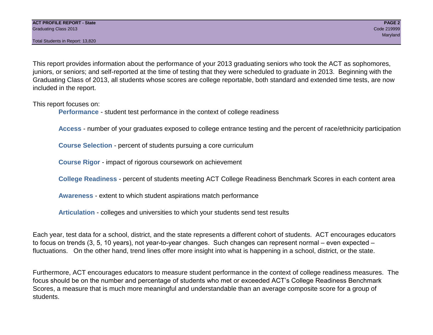This report provides information about the performance of your 2013 graduating seniors who took the ACT as sophomores, juniors, or seniors; and self-reported at the time of testing that they were scheduled to graduate in 2013. Beginning with the Graduating Class of 2013, all students whose scores are college reportable, both standard and extended time tests, are now included in the report.

This report focuses on:

**Performance** - student test performance in the context of college readiness

**Access** - number of your graduates exposed to college entrance testing and the percent of race/ethnicity participation

**Course Selection** - percent of students pursuing a core curriculum

**Course Rigor** - impact of rigorous coursework on achievement

**College Readiness** - percent of students meeting ACT College Readiness Benchmark Scores in each content area

**Awareness** - extent to which student aspirations match performance

**Articulation** - colleges and universities to which your students send test results

Each year, test data for a school, district, and the state represents a different cohort of students. ACT encourages educators to focus on trends (3, 5, 10 years), not year-to-year changes. Such changes can represent normal – even expected – fluctuations. On the other hand, trend lines offer more insight into what is happening in a school, district, or the state.

Furthermore, ACT encourages educators to measure student performance in the context of college readiness measures. The focus should be on the number and percentage of students who met or exceeded ACT's College Readiness Benchmark Scores, a measure that is much more meaningful and understandable than an average composite score for a group of students.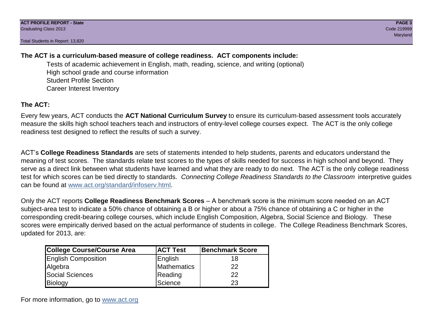### **The ACT is a curriculum-based measure of college readiness. ACT components include:**

Tests of academic achievement in English, math, reading, science, and writing (optional) High school grade and course information Student Profile Section Career Interest Inventory

### **The ACT:**

Every few years, ACT conducts the **ACT National Curriculum Survey** to ensure its curriculum-based assessment tools accurately measure the skills high school teachers teach and instructors of entry-level college courses expect. The ACT is the only college readiness test designed to reflect the results of such a survey.

ACT's **College Readiness Standards** are sets of statements intended to help students, parents and educators understand the meaning of test scores. The standards relate test scores to the types of skills needed for success in high school and beyond. They serve as a direct link between what students have learned and what they are ready to do next. The ACT is the only college readiness test for which scores can be tied directly to standards. *Connecting College Readiness Standards to the Classroom* interpretive guides can be found at www.act.org/standard/infoserv.html.

Only the ACT reports **College Readiness Benchmark Scores** – A benchmark score is the minimum score needed on an ACT subject-area test to indicate a 50% chance of obtaining a B or higher or about a 75% chance of obtaining a C or higher in the corresponding credit-bearing college courses, which include English Composition, Algebra, Social Science and Biology. These scores were empirically derived based on the actual performance of students in college. The College Readiness Benchmark Scores, updated for 2013, are:

| College Course/Course Area | <b>ACT Test</b> | <b>Benchmark Score</b> |
|----------------------------|-----------------|------------------------|
| <b>English Composition</b> | English         | 18                     |
| Algebra                    | Mathematics     | 22                     |
| <b>Social Sciences</b>     | Reading         | 22                     |
| Biology                    | Science         | 23                     |

For more information, go to www.act.org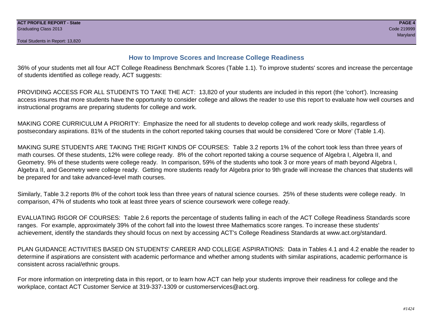#### **How to Improve Scores and Increase College Readiness**

36% of your students met all four ACT College Readiness Benchmark Scores (Table 1.1). To improve students' scores and increase the percentage of students identified as college ready, ACT suggests:

PROVIDING ACCESS FOR ALL STUDENTS TO TAKE THE ACT: 13,820 of your students are included in this report (the 'cohort'). Increasing access insures that more students have the opportunity to consider college and allows the reader to use this report to evaluate how well courses and instructional programs are preparing students for college and work.

MAKING CORE CURRICULUM A PRIORITY: Emphasize the need for all students to develop college and work ready skills, regardless of postsecondary aspirations. 81% of the students in the cohort reported taking courses that would be considered 'Core or More' (Table 1.4).

MAKING SURE STUDENTS ARE TAKING THE RIGHT KINDS OF COURSES: Table 3.2 reports 1% of the cohort took less than three years of math courses. Of these students, 12% were college ready. 8% of the cohort reported taking a course sequence of Algebra I, Algebra II, and Geometry. 9% of these students were college ready. In comparison, 59% of the students who took 3 or more years of math beyond Algebra I, Algebra II, and Geometry were college ready. Getting more students ready for Algebra prior to 9th grade will increase the chances that students will be prepared for and take advanced-level math courses.

Similarly, Table 3.2 reports 8% of the cohort took less than three years of natural science courses. 25% of these students were college ready. In comparison, 47% of students who took at least three years of science coursework were college ready.

EVALUATING RIGOR OF COURSES: Table 2.6 reports the percentage of students falling in each of the ACT College Readiness Standards score ranges. For example, approximately 39% of the cohort fall into the lowest three Mathematics score ranges. To increase these students' achievement, identify the standards they should focus on next by accessing ACT's College Readiness Standards at www.act.org/standard.

PLAN GUIDANCE ACTIVITIES BASED ON STUDENTS' CAREER AND COLLEGE ASPIRATIONS: Data in Tables 4.1 and 4.2 enable the reader to determine if aspirations are consistent with academic performance and whether among students with similar aspirations, academic performance is consistent across racial/ethnic groups.

For more information on interpreting data in this report, or to learn how ACT can help your students improve their readiness for college and the workplace, contact ACT Customer Service at 319-337-1309 or customerservices@act.org.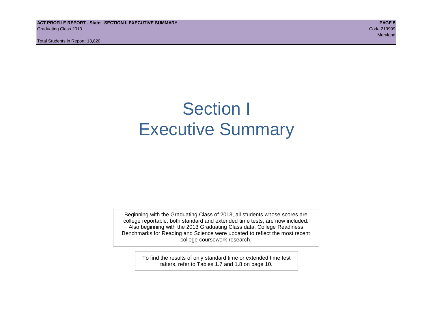**ACT PROFILE REPORT - State: SECTION I, EXECUTIVE SUMMARY PAGE 5** Graduating Class 2013 Code 219999

Total Students in Report: 13,820

maryland and the control of the control of the control of the control of the control of the control of the control of the control of the control of the control of the control of the control of the control of the control of

# Section I Executive Summary

Beginning with the Graduating Class of 2013, all students whose scores are college reportable, both standard and extended time tests, are now included. Also beginning with the 2013 Graduating Class data, College Readiness Benchmarks for Reading and Science were updated to reflect the most recent college coursework research.

> To find the results of only standard time or extended time test takers, refer to Tables 1.7 and 1.8 on page 10.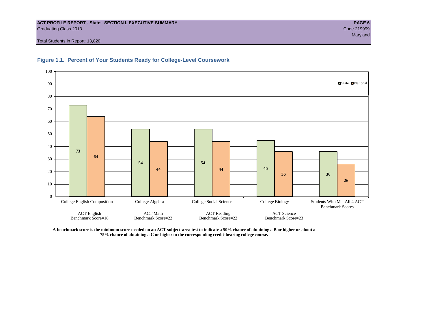#### **ACT PROFILE REPORT - State: SECTION I, EXECUTIVE SUMMARY PAGE 6** Graduating Class 2013 Code 219999

Total Students in Report: 13,820





**A benchmark score is the minimum score needed on an ACT subject-area test to indicate a 50% chance of obtaining a B or higher or about a 75% chance of obtaining a C or higher in the corresponding credit-bearing college course.**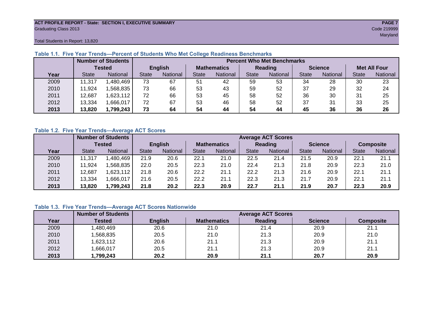#### **ACT PROFILE REPORT - State: SECTION I, EXECUTIVE SUMMARY PAGE 7** Graduating Class 2013 Code 219999

maryland and the control of the control of the control of the control of the control of the control of the control of the control of the control of the control of the control of the control of the control of the control of

Total Students in Report: 13,820

|      |              | <b>Number of Students</b> |                | <b>Percent Who Met Benchmarks</b> |                    |          |              |          |                |          |                     |          |  |  |
|------|--------------|---------------------------|----------------|-----------------------------------|--------------------|----------|--------------|----------|----------------|----------|---------------------|----------|--|--|
|      |              | Tested                    | <b>English</b> |                                   | <b>Mathematics</b> |          | Reading      |          | <b>Science</b> |          | <b>Met All Four</b> |          |  |  |
| Year | <b>State</b> | <b>National</b>           | <b>State</b>   | National                          |                    | National | <b>State</b> | National | <b>State</b>   | National | <b>State</b>        | National |  |  |
| 2009 | 11,317       | 1,480,469                 | 73             | 67                                | 51                 | 42       | 59           | 53       | 34             | 28       | 30                  | 23       |  |  |
| 2010 | 11,924       | .568,835                  | 73             | 66                                | 53                 | 43       | 59           | 52       | 37             | 29       | 32                  | 24       |  |  |
| 2011 | 12,687       | 1,623,112                 | 72             | 66                                | 53                 | 45       | 58           | 52       | 36             | 30       | 31                  | 25       |  |  |
| 2012 | 13,334       | 1,666,017                 | 72             | 67                                | 53                 | 46       | 58           | 52       | 37             | 31       | 33                  | 25       |  |  |
| 2013 | 13,820       | 1,799,243                 | 73             | 64                                | 54                 | 44       | 54           | 44       | 45             | 36       | 36                  | 26       |  |  |

#### **Table 1.1. Five Year Trends—Percent of Students Who Met College Readiness Benchmarks**

#### **Table 1.2. Five Year Trends—Average ACT Scores**

|      |              | <b>Number of Students</b> |              |                 |                    | <b>Average ACT Scores</b> |                |                 |                |          |                  |          |  |  |  |
|------|--------------|---------------------------|--------------|-----------------|--------------------|---------------------------|----------------|-----------------|----------------|----------|------------------|----------|--|--|--|
|      |              | Tested                    |              | <b>English</b>  | <b>Mathematics</b> |                           | <b>Reading</b> |                 | <b>Science</b> |          | <b>Composite</b> |          |  |  |  |
| Year | <b>State</b> | National                  | <b>State</b> | <b>National</b> |                    | <b>National</b>           | <b>State</b>   | <b>National</b> | <b>State</b>   | National | <b>State</b>     | National |  |  |  |
| 2009 | .317<br>11   | .480.469                  | 21.9         | 20.6            | 22.1               | 21.0                      | 22.5           | 21.4            | 21.5           | 20.9     | 22.7             | 21.1     |  |  |  |
| 2010 | .924         | .568.835                  | 22.0         | 20.5            | 22.3               | 21.0                      | 22.4           | 21.3            | 21.8           | 20.9     | 22.3             | 21.0     |  |  |  |
| 2011 | 12,687       | ,623,112                  | 21.8         | 20.6            | 22.2               | 21.1                      | 22.2           | 21.3            | 21.6           | 20.9     | 22.1             | 21.1     |  |  |  |
| 2012 | 13,334       | .666,017                  | 21.6         | 20.5            | 22.2               | 21.1                      | 22.3           | 21.3            | 21.7           | 20.9     | 22.1             | 21.1     |  |  |  |
| 2013 | 13,820       | 1,799,243                 | 21.8         | 20.2            | 22.3               | 20.9                      | 22.7           | 21.1            | 21.9           | 20.7     | 22.3             | 20.9     |  |  |  |

#### **Table 1.3. Five Year Trends—Average ACT Scores Nationwide**

|      | <b>Number of Students</b> |                | <b>Average ACT Scores</b> |         |                |                  |  |  |  |  |  |  |
|------|---------------------------|----------------|---------------------------|---------|----------------|------------------|--|--|--|--|--|--|
| Year | Tested                    | <b>English</b> | <b>Mathematics</b>        | Reading | <b>Science</b> | <b>Composite</b> |  |  |  |  |  |  |
| 2009 | ,480,469                  | 20.6           | 21.0                      | 21.4    | 20.9           | 21.1             |  |  |  |  |  |  |
| 2010 | ,568,835                  | 20.5           | 21.0                      | 21.3    | 20.9           | 21.0             |  |  |  |  |  |  |
| 2011 | ,623,112                  | 20.6           | 21.1                      | 21.3    | 20.9           | 21.1             |  |  |  |  |  |  |
| 2012 | ,666,017                  | 20.5           | 21.1                      | 21.3    | 20.9           | 21.1             |  |  |  |  |  |  |
| 2013 | ,799,243                  | 20.2           | 20.9                      | 21.1    | 20.7           | 20.9             |  |  |  |  |  |  |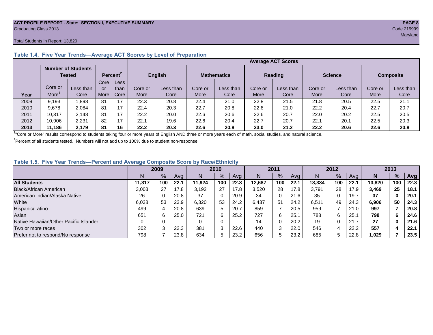#### **ACT PROFILE REPORT - State: SECTION I, EXECUTIVE SUMMARY PAGE 8** Graduating Class 2013 Code 219999

#### Total Students in Report: 13,820

|      |         | <b>Number of Students</b><br>Tested |      | Percent <sup>2</sup> | English |           | <b>Mathematics</b> |           | <b>Reading</b> |           | <b>Science</b> |           | <b>Composite</b> |           |
|------|---------|-------------------------------------|------|----------------------|---------|-----------|--------------------|-----------|----------------|-----------|----------------|-----------|------------------|-----------|
|      |         |                                     | Core | Less                 |         |           |                    |           |                |           |                |           |                  |           |
|      | Core or | Less than                           | or   | than                 | Core or | Less than | Core or            | Less than | Core or        | Less than | Core or        | Less than | Core or          | Less than |
| Year | More    | Core                                | More | Core                 | More    | Core      | More               | Core      | More           | Core      | More           | Core      | More             | Core      |
| 2009 | 9.193   | .898                                | 81   | 17                   | 22.3    | 20.8      | 22.4               | 21.0      | 22.8           | 21.5      | 21.8           | 20.5      | 22.5             | 21.1      |
| 2010 | 9,678   | 2.084                               | 81   | 17                   | 22.4    | 20.3      | 22.7               | 20.8      | 22.8           | 21.0      | 22.2           | 20.4      | 22.7             | 20.7      |
| 2011 | 10,317  | 2.148                               | 81   | 17                   | 22.2    | 20.0      | 22.6               | 20.6      | 22.6           | 20.7      | 22.0           | 20.2      | 22.5             | 20.5      |
| 2012 | 10,906  | 2,231                               | 82   | 17                   | 22.1    | 19.6      | 22.6               | 20.4      | 22.7           | 20.7      | 22.1           | 20.1      | 22.5             | 20.3      |
| 2013 | 11.186  | 2.179                               | 81   | 16                   | 22.2    | 20.3      | 22.6               | 20.8      | 23.0           | 21.2      | 22.2           | 20.6      | 22.6             | 20.8      |

#### **Table 1.4. Five Year Trends—Average ACT Scores by Level of Preparation**

<sup>1</sup>"Core or More" results correspond to students taking four or more years of English AND three or more years each of math, social studies, and natural science.

 $2$ Percent of all students tested. Numbers will not add up to 100% due to student non-response.

#### **Table 1.5. Five Year Trends—Percent and Average Composite Score by Race/Ethnicity**

|                                        | 2009   |      |      | 2010   |     | 2011 |        |               | 2012 |        |     | 2013 |        |     |      |
|----------------------------------------|--------|------|------|--------|-----|------|--------|---------------|------|--------|-----|------|--------|-----|------|
|                                        |        | $\%$ | Avg  | N      | %   | Ava  | N      | $\frac{9}{6}$ | Avg  | Ν      | %   | Ava  | N      | %   | Avg  |
| <b>All Students</b>                    | 11.317 | 100  | 22.1 | 11.924 | 100 | 22.3 | 12.687 | 100           | 22.1 | 13.334 | 100 | 22.1 | 13.820 | 100 | 22.3 |
| Black/African American                 | 3.003  | 27   | 17.8 | 3.192  | 27  | 17.8 | 3,520  | 28            | 17.8 | 3.791  | 28  | 17.9 | 3.469  | 25  | 18.1 |
| American Indian/Alaska Native          | 26     |      | 20.8 | 37     | 0   | 20.9 | 34     | 0             | 21.6 | 35     |     | 19.7 | 37     | 0   | 20.1 |
| White                                  | 6,038  | 53   | 23.9 | 6,320  | 53  | 24.2 | 6.437  | 51            | 24.2 | 6,511  | 49  | 24.3 | 6,906  | 50  | 24.3 |
| Hispanic/Latino                        | 499    |      | 20.8 | 639    | 5   | 20.7 | 859    |               | 20.5 | 959    |     | 21.0 | 997    |     | 20.8 |
| Asian                                  | 651    |      | 25.0 | 721    | 6   | 25.2 | 727    | 6             | 25.7 | 788    | 6   | 25.  | 798    | 6   | 24.6 |
| Native Hawaiian/Other Pacific Islander |        |      |      |        | 0   |      | 14     | 0             | 20.2 | 19     |     | 21.7 | 27     | 0   | 21.6 |
| Two or more races                      | 302    |      | 22.3 | 381    | 3   | 22.6 | 440    | 3             | 22.0 | 546    | 4   | 22.2 | 557    |     | 22.1 |
| Prefer not to respond/No response      | 798    |      | 23.8 | 634    | b   | 23.2 | 656    |               | 23.2 | 685    | 5   | 22.8 | 1,029  |     | 23.5 |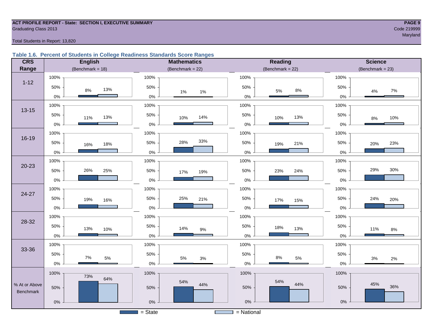# **ACT PROFILE REPORT - State: SECTION I, EXECUTIVE SUMMARY PAGE 9** Graduating Class 2013 Code 219999

maryland and the state of the state of the state of the state of the state of the state of the Maryland and th

Total Students in Report: 13,820

#### **Table 1.6. Percent of Students in College Readiness Standards Score Ranges**

| <b>CRS</b>    | <b>English</b>        | <b>Mathematics</b>  | <b>Reading</b>                         | <b>Science</b>      |
|---------------|-----------------------|---------------------|----------------------------------------|---------------------|
| Range         | (Benchmark = $18$ )   | (Benchmark = $22$ ) | $(Benchmark = 22)$                     | $(Benchmark = 23)$  |
|               | 100%                  | 100%                | 100%                                   | 100%                |
| $1 - 12$      | 50%<br>13%<br>8%      | 50%<br>1%<br>1%     | 50%<br>$8\%$<br>$5\%$                  | 50%<br>7%<br>4%     |
|               | $0\%$                 | $0\%$               | $0\%$                                  | 0%                  |
| $13 - 15$     | 100%                  | 100%                | 100%                                   | 100%                |
|               | 50%<br>13%<br>11%     | 50%<br>14%<br>10%   | 50%<br>13%<br>10%                      | 50%<br>10%<br>8%    |
|               | $0\%$                 | $0\%$               | $0\%$                                  | 0%                  |
|               | 100%                  | 100%                | 100%                                   | 100%                |
| $16 - 19$     | 50%<br>18%<br>16%     | 33%<br>28%<br>50%   | 50%<br>21%<br>19%                      | 50%<br>23%<br>20%   |
|               | $0\%$                 | 0%                  | $0\%$                                  | 0%                  |
|               | 100%                  | 100%                | 100%                                   | 100%                |
| $20 - 23$     | 26%<br>50%<br>25%     | 50%<br>19%<br>17%   | 50%<br>24%<br>23%                      | 29%<br>30%<br>50%   |
|               | $0\%$                 | $0\%$               | $0\%$                                  | 0%                  |
|               | 100%                  | 100%                | 100%                                   | 100%                |
| $24 - 27$     | 50%<br>19%<br>16%     | 50%<br>25%<br>21%   | 50%<br>17%<br>15%                      | 50%<br>24%<br>20%   |
|               | $0\%$                 | $0\%$               | $0\%$                                  | 0%                  |
|               | 100%                  | 100%                | 100%                                   | 100%                |
| 28-32         | 50%<br>13%<br>10%     | 50%<br>14%<br>$9\%$ | 50%<br>18%<br>13%                      | 50%<br>11%<br>$8\%$ |
|               | $0\%$                 | $0\%$               | $0\%$                                  | 0%                  |
|               | 100%                  | 100%                | 100%                                   | 100%                |
| 33-36         | 50%<br>$7\%$<br>$5\%$ | 50%<br>5%           | 50%<br>$8\%$<br>$5\%$                  | 50%                 |
|               | $0\%$                 | $3%$<br>$0\%$       | $0\%$                                  | 3%<br>$2\%$<br>0%   |
|               | 100%<br>73%           | 100%                | 100%                                   | 100%                |
| % At or Above | 64%                   | 54%<br>44%          | 54%<br>44%                             | 45%<br>36%          |
| Benchmark     | 50%                   | 50%                 | 50%                                    | 50%                 |
|               | $0\%$                 | $0\%$               | $0\%$                                  | $0\%$               |
|               |                       | $=$ State           | = National<br><b>Contract Contract</b> |                     |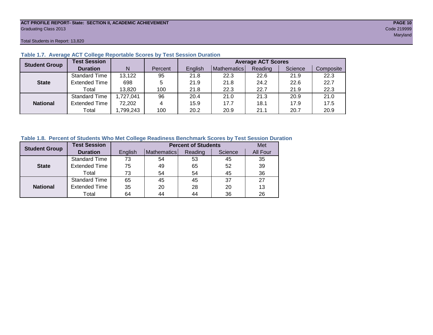#### **ACT PROFILE REPORT- State: SECTION II, ACADEMIC ACHIEVEMENT PAGE 10** Graduating Class 2013 Code 219999

Total Students in Report: 13,820

| <b>Student Group</b> | <b>Test Session</b>  |          |         | <b>Average ACT Scores</b> |             |         |         |           |  |  |  |  |  |
|----------------------|----------------------|----------|---------|---------------------------|-------------|---------|---------|-----------|--|--|--|--|--|
|                      | <b>Duration</b>      | N        | Percent | English                   | Mathematics | Reading | Science | Composite |  |  |  |  |  |
|                      | <b>Standard Time</b> | 13,122   | 95      | 21.8                      | 22.3        | 22.6    | 21.9    | 22.3      |  |  |  |  |  |
| <b>State</b>         | <b>Extended Time</b> | 698      | 5       | 21.9                      | 21.8        | 24.2    | 22.6    | 22.7      |  |  |  |  |  |
|                      | Total                | 13,820   | 100     | 21.8                      | 22.3        | 22.7    | 21.9    | 22.3      |  |  |  |  |  |
|                      | <b>Standard Time</b> | ,727,041 | 96      | 20.4                      | 21.0        | 21.3    | 20.9    | 21.0      |  |  |  |  |  |
| <b>National</b>      | <b>Extended Time</b> | 72,202   | 4       | 15.9                      | 17.7        | 18.1    | 17.9    | 17.5      |  |  |  |  |  |
|                      | Total                | ,799,243 | 100     | 20.2                      | 20.9        | 21.1    | 20.7    | 20.9      |  |  |  |  |  |

#### **Table 1.7. Average ACT College Reportable Scores by Test Session Duration**

#### **Table 1.8. Percent of Students Who Met College Readiness Benchmark Scores by Test Session Duration**

| <b>Student Group</b> | <b>Test Session</b>  |         |             | <b>Percent of Students</b> |         | Met      |
|----------------------|----------------------|---------|-------------|----------------------------|---------|----------|
|                      | <b>Duration</b>      | English | Mathematics | Reading                    | Science | All Four |
|                      | <b>Standard Time</b> | 73      | 54          | 53                         | 45      | 35       |
| <b>State</b>         | <b>Extended Time</b> | 75      | 49          | 65                         | 52      | 39       |
|                      | Total                | 73      | 54          | 54                         | 45      | 36       |
|                      | <b>Standard Time</b> | 65      | 45          | 45                         | 37      | 27       |
| <b>National</b>      | <b>Extended Time</b> | 35      | 20          | 28                         | 20      | 13       |
|                      | Total                | 64      | 44          | 44                         | 36      | 26       |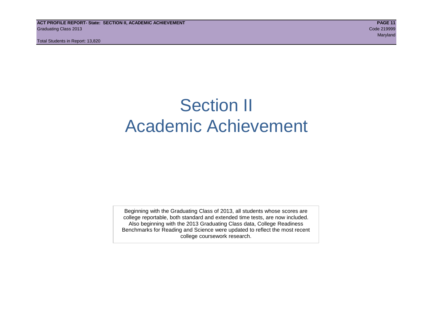# Section II Academic Achievement

Beginning with the Graduating Class of 2013, all students whose scores are college reportable, both standard and extended time tests, are now included. Also beginning with the 2013 Graduating Class data, College Readiness Benchmarks for Reading and Science were updated to reflect the most recent college coursework research.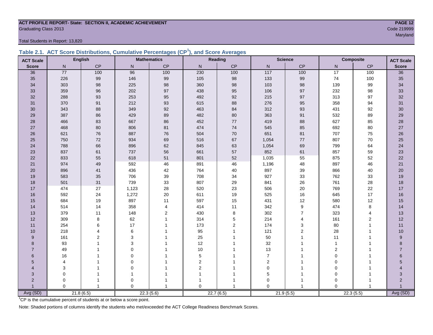### **ACT PROFILE REPORT- State: SECTION II, ACADEMIC ACHIEVEMENT PAGE 12** Graduating Class 2013 Code 219999

Total Students in Report: 13,820

|  | Table 2.1. ACT Score Distributions, Cumulative Percentages (CP <sup>1</sup> ), and Score Averages |  |  |  |
|--|---------------------------------------------------------------------------------------------------|--|--|--|
|  |                                                                                                   |  |  |  |

| <b>ACT Scale</b> |             | <b>English</b> |                | <b>Mathematics</b> |                         | <b>Reading</b> |                   | <b>Science</b> |                | <b>Composite</b> | <b>ACT Scale</b> |
|------------------|-------------|----------------|----------------|--------------------|-------------------------|----------------|-------------------|----------------|----------------|------------------|------------------|
| <b>Score</b>     | N           | CP             | N              | CP                 | N                       | CP             | $\mathsf{N}$      | CP             | N.             | CP               | <b>Score</b>     |
| 36               | 77          | 100            | 96             | 100                | 230                     | 100            | $\frac{117}{117}$ | 100            | 17             | 100              | 36               |
| 35               | 226         | 99             | 146            | 99                 | 105                     | 98             | 133               | 99             | 74             | 100              | 35               |
| 34               | 303         | 98             | 225            | 98                 | 360                     | 98             | 103               | 98             | 139            | 99               | 34               |
| 33               | 359         | 96             | 202            | 97                 | 438                     | 95             | 106               | 97             | 232            | 98               | 33               |
| 32               | 288         | 93             | 253            | 95                 | 492                     | 92             | 215               | 97             | 313            | 97               | 32               |
| 31               | 370         | 91             | 212            | 93                 | 615                     | 88             | 276               | 95             | 358            | 94               | 31               |
| 30               | 343         | 88             | 349            | 92                 | 463                     | 84             | 312               | 93             | 431            | 92               | 30               |
| 29               | 387         | 86             | 429            | 89                 | 482                     | 80             | 363               | 91             | 532            | 89               | 29               |
| 28               | 466         | 83             | 667            | 86                 | 452                     | $77$           | 419               | 88             | 627            | 85               | 28               |
| 27               | 468         | 80             | 806            | 81                 | 474                     | 74             | 545               | 85             | 692            | 80               | $27\,$           |
| 26               | 621         | 76             | 887            | 76                 | 504                     | 70             | 651               | 81             | 707            | 75               | $26\,$           |
| 25               | 750         | $72\,$         | 934            | 69                 | 516                     | 67             | 1,054             | 77             | 807            | 70               | 25               |
| 24               | 788         | 66             | 896            | 62                 | 845                     | 63             | 1,054             | 69             | 799            | 64               | 24               |
| 23               | 837         | 61             | 737            | 56                 | 661                     | 57             | 852               | 61             | 857            | 59               | 23               |
| 22               | 833         | 55             | 618            | 51                 | 801                     | 52             | 1,035             | 55             | 875            | 52               | 22               |
| 21               | 974         | 49             | 592            | 46                 | 891                     | 46             | 1,196             | 48             | 897            | 46               | 21               |
| 20               | 896         | 41             | 436            | 42                 | 764                     | 40             | 897               | 39             | 866            | 40               | 20               |
| 19               | 583         | 35             | 706            | 39                 | 708                     | 34             | 927               | 33             | 762            | 33               | 19               |
| 18               | 501         | 31             | 739            | 33                 | 807                     | 29             | 841               | 26             | 761            | 28               | 18               |
| 17               | 474         | 27             | 1,123          | 28                 | 520                     | 23             | 506               | $20\,$         | 769            | 22               | $17$             |
| 16               | 592         | 24             | 1,272          | 20                 | 611                     | 19             | 525               | 16             | 645            | 17               | 16               |
| 15               | 684         | 19             | 897            | 11                 | 597                     | 15             | 431               | 12             | 580            | 12               | 15               |
| 14               | 514         | 14             | 358            | $\overline{4}$     | 414                     | 11             | 342               | 9              | 474            | 8                | 14               |
| 13               | 379         | 11             | 148            | $\overline{2}$     | 430                     | 8              | 302               | $\overline{7}$ | 323            | $\overline{4}$   | 13               |
| 12               | 309         | 8              | 62             | $\mathbf{1}$       | 314                     | 5              | 214               | 4              | 161            | 2                | 12               |
| 11               | 254         | 6              | 17             |                    | 173                     | $\overline{2}$ | 174               | 3              | 80             | $\mathbf{1}$     | 11               |
| 10               | 218         | $\overline{4}$ | 6              |                    | 95                      | 1              | 121               | $\overline{2}$ | 28             | 1                | 10               |
| 9                | 161         | $\overline{2}$ | 3              |                    | 25                      |                | 50                | 1              | 11             | 1                | $\boldsymbol{9}$ |
| 8                | 93          |                | 3              |                    | 12                      |                | 32                | 1              | $\mathbf{1}$   |                  | 8                |
| $\overline{7}$   | 49          |                | $\Omega$       |                    | 10                      |                | 13                |                | $\overline{2}$ |                  | $\overline{7}$   |
| 6                | 16          |                | $\Omega$       |                    | $\mathbf 5$             |                | $\overline{7}$    |                | $\mathbf 0$    |                  | 6                |
| 5                | 4           |                | $\Omega$       |                    | $\overline{\mathbf{c}}$ |                | $\overline{2}$    |                | $\mathbf 0$    |                  | 5                |
| 4                | 3           |                | $\mathbf 0$    |                    | $\overline{\mathbf{c}}$ |                | $\pmb{0}$         |                | $\mathbf 0$    |                  | 4                |
| 3                | $\mathbf 0$ |                | $\overline{1}$ |                    |                         |                | 5                 | 1              | $\mathbf 0$    |                  | 3                |
| $\overline{2}$   | 0           |                | 0              |                    |                         |                | 0                 | 1              | $\mathbf 0$    |                  | $\overline{2}$   |
|                  | $\Omega$    | $\overline{1}$ | $\Omega$       |                    | $\Omega$                | 1              | $\Omega$          | $\overline{1}$ | $\Omega$       |                  |                  |
| Avg (SD)         |             | 21.8(6.5)      |                | 22.3(5.6)          |                         | 22.7(6.5)      |                   | 21.9(5.5)      | 22.3(5.5)      |                  | Avg (SD)         |

<sup>1</sup>CP is the cumulative percent of students at or below a score point.

Note: Shaded portions of columns identify the students who met/exceeded the ACT College Readiness Benchmark Scores.

maryland and the control of the control of the control of the control of the control of the control of the control of the control of the control of the control of the control of the control of the control of the control of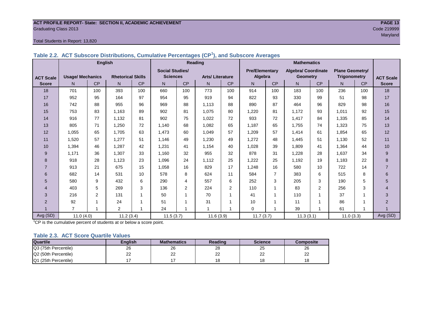#### **ACT PROFILE REPORT- State: SECTION II, ACADEMIC ACHIEVEMENT PAGE 13** Graduating Class 2013 Code 219999

#### Total Students in Report: 13,820

|                  |                         | <b>English</b> |                          |           |                        | <b>Reading</b> | <b>Mathematics</b>     |           |                       |           |                            |                         |                        |           |                  |
|------------------|-------------------------|----------------|--------------------------|-----------|------------------------|----------------|------------------------|-----------|-----------------------|-----------|----------------------------|-------------------------|------------------------|-----------|------------------|
|                  |                         |                |                          |           | <b>Social Studies/</b> |                |                        |           | <b>Pre/Elementary</b> |           | <b>Algebra/ Coordinate</b> |                         | <b>Plane Geometry/</b> |           |                  |
| <b>ACT Scale</b> | <b>Usage/ Mechanics</b> |                | <b>Rhetorical Skills</b> |           | <b>Sciences</b>        |                | <b>Arts/Literature</b> |           | Algebra               |           | <b>Geometry</b>            |                         | <b>Trigonometry</b>    |           | <b>ACT Scale</b> |
| <b>Score</b>     | N                       | <b>CP</b>      | N                        | <b>CP</b> | N                      | <b>CP</b>      | N                      | <b>CP</b> | N                     | <b>CP</b> | N.                         | <b>CP</b>               | N                      | <b>CP</b> | <b>Score</b>     |
| 18               | 701                     | 100            | 393                      | 100       | 660                    | 100            | 773                    | 100       | 914                   | 100       | 183                        | 100                     | 236                    | 100       | 18               |
| 17               | 952                     | 95             | 164                      | 97        | 954                    | 95             | 919                    | 94        | 822                   | 93        | 330                        | 99                      | 51                     | 98        | 17               |
| 16               | 742                     | 88             | 955                      | 96        | 969                    | 88             | 1.113                  | 88        | 890                   | 87        | 464                        | 96                      | 829                    | 98        | 16               |
| 15               | 753                     | 83             | 1.163                    | 89        | 902                    | 81             | 1.075                  | 80        | 1.220                 | 81        | 1,172                      | 93                      | 1.011                  | 92        | 15               |
| 14               | 916                     | 77             | 1,132                    | 81        | 902                    | 75             | 1,022                  | 72        | 933                   | 72        | 1,417                      | 84                      | 1,335                  | 85        | 14               |
| 13               | 805                     | 71             | 1,250                    | 72        | 1.140                  | 68             | 1,082                  | 65        | 1.187                 | 65        | 1,755                      | 74                      | 1,323                  | 75        | 13               |
| 12               | 1,055                   | 65             | 1,705                    | 63        | 1,473                  | 60             | 1,049                  | 57        | 1,209                 | 57        | 1,414                      | 61                      | 1,854                  | 65        | 12               |
| 11               | 1,520                   | 57             | 1.277                    | 51        | 1.146                  | 49             | 1.230                  | 49        | 1.272                 | 48        | 1,445                      | 51                      | 1.130                  | 52        | 11               |
| 10               | 1,394                   | 46             | 1.287                    | 42        | 1,231                  | 41             | 1.154                  | 40        | 1.028                 | 39        | 1.809                      | 41                      | 1,364                  | 44        | 10               |
| 9                | 1.171                   | 36             | 1.307                    | 33        | 1,160                  | 32             | 955                    | 32        | 878                   | 31        | 1,228                      | 28                      | 1.637                  | 34        | 9                |
| 8                | 918                     | 28             | 1.123                    | 23        | 1,096                  | 24             | 1.112                  | 25        | 1,222                 | 25        | 1.192                      | 19                      | 1.183                  | 22        | 8                |
|                  | 913                     | 21             | 675                      | 15        | 1,058                  | 16             | 829                    | 17        | 1,248                 | 16        | 580                        | 10                      | 722                    | 14        | $\overline{7}$   |
| 6                | 682                     | 14             | 531                      | 10        | 578                    | 8              | 624                    | 11        | 584                   | 7         | 383                        | 6                       | 515                    | 8         | 6                |
| 5                | 580                     | 9              | 432                      | 6         | 290                    | 4              | 557                    | 6         | 252                   | 3         | 205                        | 3                       | 190                    | 5         | 5                |
| 4                | 403                     | 5              | 269                      | 3         | 136                    | $\overline{2}$ | 224                    | 2         | 110                   | 1         | 83                         | $\overline{2}$          | 256                    | 3         | 4                |
| 3                | 216                     | $\overline{2}$ | 131                      | 1         | 50                     | 1              | 70                     | 1         | 41                    |           | 110                        | 1                       | 37                     |           | 3                |
| $\overline{2}$   | 92                      |                | 24                       |           | 51                     |                | 31                     | 1         | 10                    |           | 11                         | $\overline{\mathbf{A}}$ | 86                     |           | $\overline{2}$   |
|                  | $\overline{7}$          |                | 2                        |           | 24                     |                | 1                      | 4         | $\Omega$              |           | 39                         |                         | 61                     |           |                  |
| Avg (SD)         | 11.0(4.0)               |                | 11.2(3.4)                |           | 11.5(3.7)              |                | 11.6(3.9)              |           | 11.7(3.7)             |           | 11.3(3.1)                  |                         | 11.0(3.3)              |           | Avg (SD)         |

**Table 2.2. ACT Subscore Distributions, Cumulative Percentages (CP<sup>1</sup> ), and Subscore Averages**

 $1$ <sup>-1</sup>CP is the cumulative percent of students at or below a score point.

#### **Table 2.3. ACT Score Quartile Values**

| <b>Quartile</b>      | Enalish  | <b>Mathematics</b> | Reading  | <b>Science</b> | Composite |
|----------------------|----------|--------------------|----------|----------------|-----------|
| Q3 (75th Percentile) | 26       | 26                 | 28       | 25             | 26        |
| Q2 (50th Percentile) | つつ<br>∠∠ | ົ<br>--            | nr<br>∠∠ | nn<br>--       | __        |
| Q1 (25th Percentile) |          |                    |          | י ^<br>۱o      |           |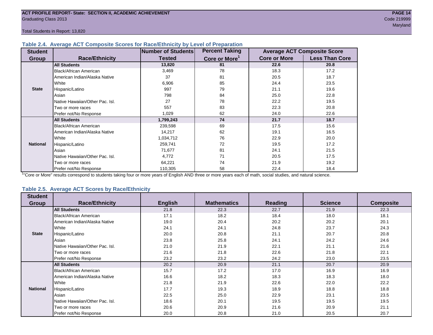#### **Table 2.4. Average ACT Composite Scores for Race/Ethnicity by Level of Preparation**

| <b>Student</b>  |                                 | Number of Students | <b>Percent Taking</b>     |                     | <b>Average ACT Composite Score</b> |  |
|-----------------|---------------------------------|--------------------|---------------------------|---------------------|------------------------------------|--|
| <b>Group</b>    | <b>Race/Ethnicity</b>           | <b>Tested</b>      | Core or More <sup>1</sup> | <b>Core or More</b> | <b>Less Than Core</b>              |  |
|                 | <b>All Students</b>             | 13,820             | 81                        | 22.6                | 20.8                               |  |
|                 | <b>Black/African American</b>   | 3,469              | 78                        | 18.3                | 17.2                               |  |
|                 | American Indian/Alaska Native   | 37                 | 81                        | 20.5                | 18.7                               |  |
|                 | White                           | 6,906              | 85                        | 24.4                | 23.5                               |  |
| <b>State</b>    | Hispanic/Latino                 | 997                | 79                        | 21.1                | 19.6                               |  |
|                 | Asian                           | 798                | 84                        | 25.0                | 22.8                               |  |
|                 | Native Hawaiian/Other Pac. Isl. | 27                 | 78                        | 22.2                | 19.5                               |  |
|                 | Two or more races               | 557                | 83                        | 22.3                | 20.8                               |  |
|                 | Prefer not/No Response          | 1,029              | 62                        | 24.0                | 22.6                               |  |
|                 | <b>All Students</b>             | 1,799,243          | 74                        | 21.7                | 18.7                               |  |
|                 | Black/African American          | 239,598            | 69                        | 17.5                | 15.6                               |  |
|                 | American Indian/Alaska Native   | 14,217             | 62                        | 19.1                | 16.5                               |  |
|                 | White                           | 1,034,712          | 76                        | 22.9                | 20.0                               |  |
| <b>National</b> | Hispanic/Latino                 | 259,741            | 72                        | 19.5                | 17.2                               |  |
|                 | Asian                           | 71,677             | 81                        | 24.1                | 21.5                               |  |
|                 | Native Hawaiian/Other Pac. Isl. | 4,772              | 71                        | 20.5                | 17.5                               |  |
|                 | Two or more races               | 64,221             | 74                        | 21.9                | 19.2                               |  |
|                 | Prefer not/No Response          | 110,305            | 58                        | 22.4                | 18.4                               |  |

<sup>1</sup>"Core or More" results correspond to students taking four or more years of English AND three or more years each of math, social studies, and natural science.

#### **Table 2.5. Average ACT Scores by Race/Ethnicity**

| <b>Student</b>  |                                 |                |                    |                |                |                  |
|-----------------|---------------------------------|----------------|--------------------|----------------|----------------|------------------|
| Group           | <b>Race/Ethnicity</b>           | <b>English</b> | <b>Mathematics</b> | <b>Reading</b> | <b>Science</b> | <b>Composite</b> |
|                 | <b>All Students</b>             | 21.8           | 22.3               | 22.7           | 21.9           | 22.3             |
|                 | Black/African American          | 17.1           | 18.2               | 18.4           | 18.0           | 18.1             |
|                 | American Indian/Alaska Native   | 19.0           | 20.4               | 20.2           | 20.2           | 20.1             |
|                 | White                           | 24.1           | 24.1               | 24.8           | 23.7           | 24.3             |
| <b>State</b>    | Hispanic/Latino                 | 20.0           | 20.8               | 21.1           | 20.7           | 20.8             |
|                 | Asian                           | 23.8           | 25.8               | 24.1           | 24.2           | 24.6             |
|                 | Native Hawaiian/Other Pac. Isl. | 21.0           | 21.9               | 22.1           | 21.1           | 21.6             |
|                 | Two or more races               | 21.6           | 21.8               | 22.6           | 21.8           | 22.1             |
|                 | Prefer not/No Response          | 23.2           | 23.2               | 24.2           | 23.0           | 23.5             |
|                 | <b>All Students</b>             | 20.2           | 20.9               | 21.1           | 20.7           | 20.9             |
|                 | <b>Black/African American</b>   | 15.7           | 17.2               | 17.0           | 16.9           | 16.9             |
|                 | American Indian/Alaska Native   | 16.6           | 18.2               | 18.3           | 18.3           | 18.0             |
|                 | White                           | 21.8           | 21.9               | 22.6           | 22.0           | 22.2             |
| <b>National</b> | Hispanic/Latino                 | 17.7           | 19.3               | 18.9           | 18.8           | 18.8             |
|                 | Asian                           | 22.5           | 25.0               | 22.9           | 23.1           | 23.5             |
|                 | Native Hawaiian/Other Pac. Isl. | 18.6           | 20.1               | 19.5           | 19.5           | 19.5             |
|                 | Two or more races               | 20.6           | 20.9               | 21.6           | 20.9           | 21.1             |
|                 | Prefer not/No Response          | 20.0           | 20.8               | 21.0           | 20.5           | 20.7             |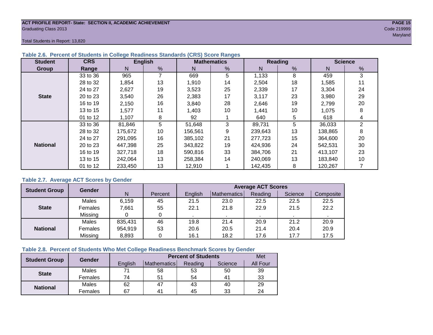#### **ACT PROFILE REPORT- State: SECTION II, ACADEMIC ACHIEVEMENT PAGE 15** Graduating Class 2013 Code 219999

Total Students in Report: 13,820

| <b>Student</b>  | <b>CRS</b> |         | <b>English</b> |         | <b>Mathematics</b> |         | Reading | <b>Science</b> |                |  |
|-----------------|------------|---------|----------------|---------|--------------------|---------|---------|----------------|----------------|--|
| Group           | Range      | N.      | %              | N       | %                  | N       | %       | N              | %              |  |
|                 | 33 to 36   | 965     |                | 669     | 5                  | 1,133   | 8       | 459            | 3              |  |
|                 | 28 to 32   | 1,854   | 13             | 1,910   | 14                 | 2,504   | 18      | 1,585          | 11             |  |
|                 | 24 to 27   | 2,627   | 19             | 3,523   | 25                 | 2,339   | 17      | 3,304          | 24             |  |
| <b>State</b>    | 20 to 23   | 3,540   | 26             | 2,383   | 17                 | 3,117   | 23      | 3,980          | 29             |  |
|                 | 16 to 19   | 2,150   | 16             | 3,840   | 28                 | 2,646   | 19      | 2.799          | 20             |  |
|                 | 13 to 15   | 1,577   | 11             | 1,403   | 10                 | 1,441   | 10      | 1,075          | 8              |  |
|                 | 01 to 12   | 1,107   | 8              | 92      |                    | 640     | 5       | 618            | 4              |  |
|                 | 33 to 36   | 81,846  | 5              | 51,648  | 3                  | 89,731  | 5       | 36,033         | $\overline{2}$ |  |
|                 | 28 to 32   | 175,672 | 10             | 156,561 | 9                  | 239,643 | 13      | 138,865        | 8              |  |
|                 | 24 to 27   | 291.095 | 16             | 385.102 | 21                 | 277.723 | 15      | 364,600        | 20             |  |
| <b>National</b> | 20 to 23   | 447,398 | 25             | 343,822 | 19                 | 424,936 | 24      | 542,531        | 30             |  |
|                 | 16 to 19   | 327,718 | 18             | 590.816 | 33                 | 384,706 | 21      | 413,107        | 23             |  |
|                 | 13 to 15   | 242.064 | 13             | 258.384 | 14                 | 240.069 | 13      | 183,840        | 10             |  |
|                 | 01 to 12   | 233,450 | 13             | 12,910  |                    | 142,435 | 8       | 120,267        |                |  |

#### **Table 2.6. Percent of Students in College Readiness Standards (CRS) Score Ranges**

#### **Table 2.7. Average ACT Scores by Gender**

| <b>Student Group</b> | <b>Gender</b> |         |         | <b>Average ACT Scores</b> |             |         |         |           |  |  |  |
|----------------------|---------------|---------|---------|---------------------------|-------------|---------|---------|-----------|--|--|--|
|                      |               | N       | Percent | Enalish                   | Mathematics | Reading | Science | Composite |  |  |  |
|                      | Males         | 6.159   | 45      | 21.5                      | 23.0        | 22.5    | 22.5    | 22.5      |  |  |  |
| <b>State</b>         | Females       | 7,661   | 55      | 22.1                      | 21.8        | 22.9    | 21.5    | 22.2      |  |  |  |
|                      | Missing       |         | 0       |                           |             |         |         |           |  |  |  |
|                      | Males         | 835,431 | 46      | 19.8                      | 21.4        | 20.9    | 21.2    | 20.9      |  |  |  |
| <b>National</b>      | Females       | 954,919 | 53      | 20.6                      | 20.5        | 21.4    | 20.4    | 20.9      |  |  |  |
|                      | Missing       | 8,893   | 0       | 16.1                      | 18.2        | 17.6    | 17.7    | 17.5      |  |  |  |

#### **Table 2.8. Percent of Students Who Met College Readiness Benchmark Scores by Gender**

| <b>Student Group</b> | <b>Gender</b> |         | <b>Percent of Students</b> | Met     |         |          |
|----------------------|---------------|---------|----------------------------|---------|---------|----------|
|                      |               | English | Mathematics                | Reading | Science | All Four |
| <b>State</b>         | Males         |         | 58                         | 53      | 50      | 39       |
|                      | Females       | 74      | 51                         | 54      | 41      | 33       |
| <b>National</b>      | <b>Males</b>  | 62      | 47                         | 43      | 40      | 29       |
|                      | Females       | 67      | 4 <sup>1</sup>             | 45      | 33      | 24       |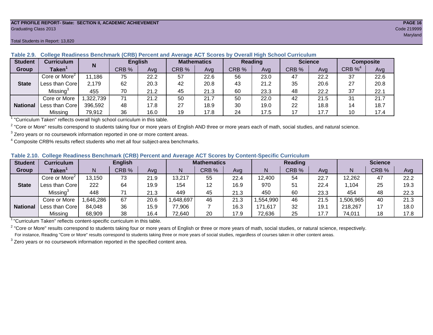#### **ACT PROFILE REPORT- State: SECTION II, ACADEMIC ACHIEVEMENT PAGE 16** Graduating Class 2013 Code 219999

#### Total Students in Report: 13,820

| <b>Student</b>  | Curriculum                              | N        | <b>English</b> |      | <b>Mathematics</b> |      | Reading |      | <b>Science</b> |      | <b>Composite</b>      |      |
|-----------------|-----------------------------------------|----------|----------------|------|--------------------|------|---------|------|----------------|------|-----------------------|------|
| Group           | Taken $^{\scriptscriptstyle\mathsf{T}}$ |          | CRB %          | Avg  | CRB %              | Ava  | CRB %   | Avg  | CRB %          | Avg  | $CRB \%$ <sup>4</sup> | Avg  |
|                 | Core or More <sup>2</sup>               | 11.186   | 75             | 22.2 | 57                 | 22.6 | 56      | 23.0 | 47             | 22.2 | 37                    | 22.6 |
| <b>State</b>    | Less than Corel                         | 2,179    | 62             | 20.3 | 42                 | 20.8 | 43      | 21.2 | 35             | 20.6 | 27                    | 20.8 |
|                 | Missing <sup>3</sup>                    | 455      | 70             | 21.2 | 45                 | 21.3 | 60      | 23.3 | 48             | 22.2 | 37                    | 22.1 |
|                 | Core or More                            | ,322,739 | 71             | 21.2 | 50                 | 21.7 | 50      | 22.0 | 42             | 21.5 | 31                    | 21.7 |
| <b>National</b> | Less than Core                          | 396,592  | 48             | 17.8 | 27                 | 18.9 | 30      | 19.0 | 22             | 18.8 | 14                    | 18.7 |
|                 | Missing                                 | 79,912   | 36             | 16.0 | 19                 | 17.8 | 24      | 17.5 | 17             | 17.7 | 10                    | 17.4 |

#### **Table 2.9. College Readiness Benchmark (CRB) Percent and Average ACT Scores by Overall High School Curriculum**

<sup>1</sup> "Curriculum Taken" reflects overall high school curriculum in this table.

 $^2$  "Core or More" results correspond to students taking four or more years of English AND three or more years each of math, social studies, and natural science.

 $3$  Zero years or no coursework information reported in one or more content areas.

 $4$  Composite CRB% results reflect students who met all four subject-area benchmarks.

#### **Table 2.10. College Readiness Benchmark (CRB) Percent and Average ACT Scores by Content-Specific Curriculum**

| <b>Student</b>  | Curriculum                | <b>English</b> |       |      | <b>Mathematics</b> |       |      | Reading  |       |      | <b>Science</b> |       |      |
|-----------------|---------------------------|----------------|-------|------|--------------------|-------|------|----------|-------|------|----------------|-------|------|
| Group           | <b>Taken</b>              |                | CRB % | Avg  |                    | CRB % | Avg  | N        | CRB % | Avg  | N              | CRB % | Avg  |
|                 | Core or More <sup>2</sup> | 13,150         | 73    | 21.9 | 13,217             | 55    | 22.4 | 12,400   | 54    | 22.7 | 12,262         | 47    | 22.2 |
| <b>State</b>    | Less than Core            | 222            | 64    | 19.9 | 154                | 12    | 16.9 | 970      | 51    | 22.4 | 1,104          | 25    | 19.3 |
|                 | Missing <sup>3</sup>      | 448            | 71    | 21.3 | 449                | 45    | 21.3 | 450      | 60    | 23.3 | 454            | 48    | 22.3 |
|                 | Core or More              | ,646,286       | 67    | 20.6 | ,648,697           | 46    | 21.3 | .554,990 | 46    | 21.5 | .506.965       | 40    | 21.3 |
| <b>National</b> | Less than Core            | 84,048         | 36    | 15.9 | 77,906             |       | 16.3 | 171,617  | 32    | 19.7 | 218,267        |       | 18.0 |
|                 | Missing                   | 68,909         | 38    | 16.4 | 72,640             | 20    | 17.9 | 72,636   | 25    | 17.7 | 74,011         | 18    | 17.8 |

<sup>1</sup>"Curriculum Taken" reflects content-specific curriculum in this table.

<sup>2</sup> "Core or More" results correspond to students taking four or more years of English or three or more years of math, social studies, or natural science, respectively. For instance, Reading "Core or More" results correspond to students taking three or more years of social studies, regardless of courses taken in other content areas.

 $3$  Zero years or no coursework information reported in the specified content area.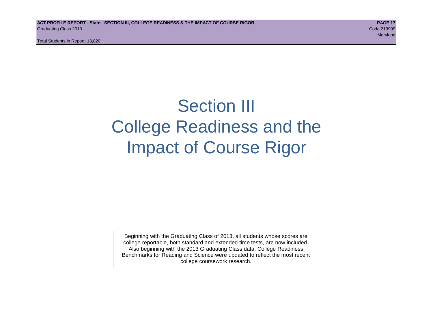# Section III College Readiness and the Impact of Course Rigor

Beginning with the Graduating Class of 2013, all students whose scores are college reportable, both standard and extended time tests, are now included. Also beginning with the 2013 Graduating Class data, College Readiness Benchmarks for Reading and Science were updated to reflect the most recent college coursework research.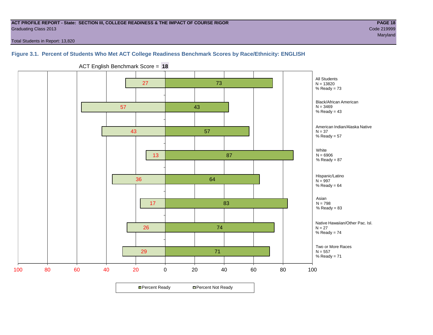#### **ACT PROFILE REPORT - State: SECTION III, COLLEGE READINESS & THE IMPACT OF COURSE RIGOR PAGE 18** Graduating Class 2013 Code 219999

maryland and the control of the control of the control of the control of the control of the control of the control of the control of the control of the control of the control of the control of the control of the control of

Total Students in Report: 13,820

#### **Figure 3.1. Percent of Students Who Met ACT College Readiness Benchmark Scores by Race/Ethnicity: ENGLISH**

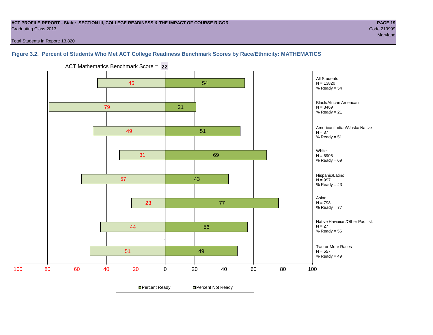#### **ACT PROFILE REPORT - State: SECTION III, COLLEGE READINESS & THE IMPACT OF COURSE RIGOR PAGE 19** Graduating Class 2013 Code 219999

maryland and the control of the control of the control of the control of the control of the control of the control of the control of the control of the control of the control of the control of the control of the control of

Total Students in Report: 13,820

#### **Figure 3.2. Percent of Students Who Met ACT College Readiness Benchmark Scores by Race/Ethnicity: MATHEMATICS**

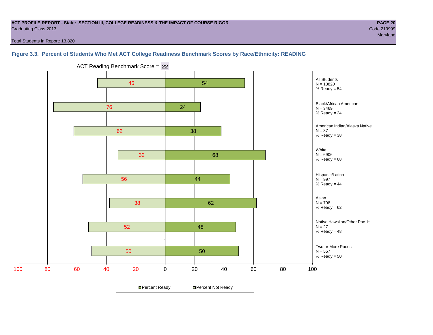#### **ACT PROFILE REPORT - State: SECTION III, COLLEGE READINESS & THE IMPACT OF COURSE RIGOR PAGE 20** Graduating Class 2013 Code 219999

maryland and the control of the control of the control of the control of the control of the control of the control of the control of the control of the control of the control of the control of the control of the control of

Total Students in Report: 13,820

#### **Figure 3.3. Percent of Students Who Met ACT College Readiness Benchmark Scores by Race/Ethnicity: READING**

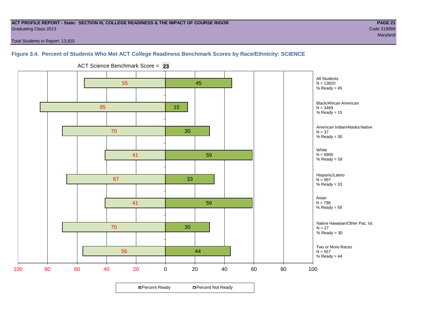#### **ACT PROFILE REPORT - State: SECTION III, COLLEGE READINESS & THE IMPACT OF COURSE RIGOR PAGE 21** Graduating Class 2013 Code 219999

maryland and the control of the control of the control of the control of the control of the control of the control of the control of the control of the control of the control of the control of the control of the control of

Total Students in Report: 13,820

#### **Figure 3.4. Percent of Students Who Met ACT College Readiness Benchmark Scores by Race/Ethnicity: SCIENCE**



ACT Science Benchmark Score = **23**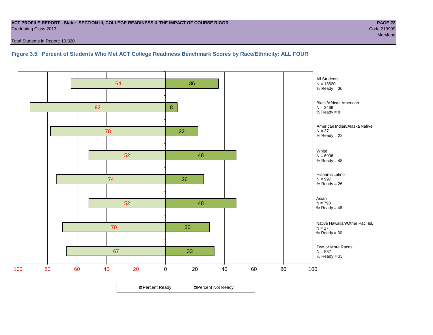#### **ACT PROFILE REPORT - State: SECTION III, COLLEGE READINESS & THE IMPACT OF COURSE RIGOR PAGE 22** Graduating Class 2013 Code 219999

Total Students in Report: 13,820

#### **Figure 3.5. Percent of Students Who Met ACT College Readiness Benchmark Scores by Race/Ethnicity: ALL FOUR**

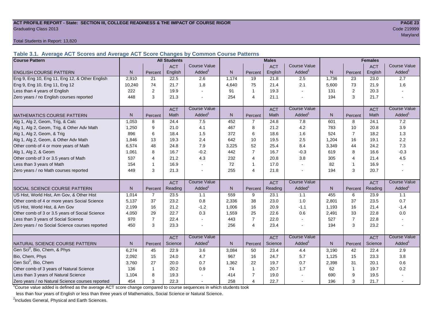#### **ACT PROFILE REPORT - State: SECTION III, COLLEGE READINESS & THE IMPACT OF COURSE RIGOR PAGE 23** Graduating Class 2013 Code 219999

Total Students in Report: 13,820

**Table 3.1. Average ACT Scores and Average ACT Score Changes by Common Course Patterns**

| <b>Course Pattern</b>                            |                |                | <b>All Students</b> |                     |       |                | <b>Males</b> |                     |       | <b>Females</b>          |            |                        |
|--------------------------------------------------|----------------|----------------|---------------------|---------------------|-------|----------------|--------------|---------------------|-------|-------------------------|------------|------------------------|
|                                                  |                |                | <b>ACT</b>          | Course Value        |       |                | <b>ACT</b>   | <b>Course Value</b> |       |                         | <b>ACT</b> | <b>Course Value</b>    |
| <b>ENGLISH COURSE PATTERN</b>                    | N.             | Percent        | English             | Added <sup>1</sup>  | N.    | Percent        | English      | Added               | N     | Percent                 | English    | A d d e d <sup>1</sup> |
| Eng 9, Eng 10, Eng 11, Eng 12, & Other English   | 2,910          | 21             | 22.5                | 2.6                 | 1,174 | 19             | 21.8         | 2.5                 | 1,736 | 23                      | 23.0       | 2.7                    |
| Eng 9, Eng 10, Eng 11, Eng 12                    | 10,240         | 74             | 21.7                | 1.8                 | 4,640 | 75             | 21.4         | 2.1                 | 5,600 | 73                      | 21.9       | 1.6                    |
| Less than 4 years of English                     | 222            | $\overline{2}$ | 19.9                |                     | 91    | $\mathbf{1}$   | 19.3         | $\sim$              | 131   | 2                       | 20.3       |                        |
| Zero years / no English courses reported         | 448            | 3              | 21.3                |                     | 254   | $\overline{4}$ | 21.1         |                     | 194   | 3                       | 21.7       |                        |
|                                                  |                |                | <b>ACT</b>          | <b>Course Value</b> |       |                | <b>ACT</b>   | <b>Course Value</b> |       |                         | <b>ACT</b> | <b>Course Value</b>    |
| <b>MATHEMATICS COURSE PATTERN</b>                | N <sub>1</sub> | Percent        | Math                | Added               | N.    | Percent        | Math         | Added               | N     | Percent                 | Math       | Added <sup>1</sup>     |
| Alg 1, Alg 2, Geom, Trig, & Calc                 | 1.053          | 8              | 24.4                | 7.5                 | 452   | $\overline{7}$ | 24.8         | 7.8                 | 601   | 8                       | 24.1       | 7.2                    |
| Alg 1, Alg 2, Geom, Trig, & Other Adv Math       | 1,250          | 9              | 21.0                | 4.1                 | 467   | 8              | 21.2         | 4.2                 | 783   | 10                      | 20.8       | 3.9                    |
| Alg 1, Alg 2, Geom, & Trig                       | 896            | 6              | 18.4                | 1.5                 | 372   | 6              | 18.6         | 1.6                 | 524   | $\overline{7}$          | 18.2       | 1.3                    |
| Alg 1, Alg 2, Geom, & Other Adv Math             | 1.846          | 13             | 19.3                | 2.4                 | 642   | 10             | 19.5         | 2.5                 | 1,204 | 16                      | 19.1       | 2.2                    |
| Other comb of 4 or more years of Math            | 6,574          | 48             | 24.8                | 7.9                 | 3,225 | 52             | 25.4         | 8.4                 | 3,349 | 44                      | 24.2       | 7.3                    |
| Alg 1, Alg 2, & Geom                             | 1,061          | 8              | 16.7                | $-0.2$              | 442   | $\overline{7}$ | 16.7         | $-0.3$              | 619   | 8                       | 16.6       | $-0.3$                 |
| Other comb of 3 or 3.5 years of Math             | 537            | 4              | 21.2                | 4.3                 | 232   | $\overline{4}$ | 20.8         | 3.8                 | 305   | 4                       | 21.4       | 4.5                    |
| Less than 3 years of Math                        | 154            | $\mathbf 1$    | 16.9                |                     | 72    | $\mathbf{1}$   | 17.0         | $\overline{a}$      | 82    | $\overline{\mathbf{1}}$ | 16.9       |                        |
| Zero years / no Math courses reported            | 449            | 3              | 21.3                |                     | 255   | $\overline{4}$ | 21.8         | $\overline{a}$      | 194   | 3                       | 20.7       |                        |
|                                                  |                |                | <b>ACT</b>          | <b>Course Value</b> |       |                | <b>ACT</b>   | <b>Course Value</b> |       |                         | <b>ACT</b> | <b>Course Value</b>    |
| SOCIAL SCIENCE COURSE PATTERN                    | N              | Percent        | Reading             | Added               | N     | Percent        | Reading      | Added               | N     | Percent                 | Reading    | A d d e d <sup>1</sup> |
| US Hist, World Hist, Am Gov, & Other Hist        | 1,014          | $\overline{7}$ | 23.5                | 1.1                 | 559   | 9              | 23.1         | 1.1                 | 455   | 6                       | 23.9       | 1.1                    |
| Other comb of 4 or more years Social Science     | 5,137          | 37             | 23.2                | 0.8                 | 2,336 | 38             | 23.0         | 1.0                 | 2,801 | 37                      | 23.5       | 0.7                    |
| US Hist, World Hist, & Am Gov                    | 2.199          | 16             | 21.2                | $-1.2$              | 1,006 | 16             | 20.9         | $-1.1$              | 1,193 | 16                      | 21.4       | $-1.4$                 |
| Other comb of 3 or 3.5 years of Social Science   | 4,050          | 29             | 22.7                | 0.3                 | 1,559 | 25             | 22.6         | 0.6                 | 2,491 | 33                      | 22.8       | 0.0                    |
| Less than 3 years of Social Science              | 970            | $\overline{7}$ | 22.4                |                     | 443   | $\overline{7}$ | 22.0         |                     | 527   | $\overline{7}$          | 22.8       |                        |
| Zero years / no Social Science courses reported  | 450            | 3              | 23.3                |                     | 256   | $\overline{4}$ | 23.4         |                     | 194   | 3                       | 23.2       |                        |
|                                                  |                |                | <b>ACT</b>          | <b>Course Value</b> |       |                | <b>ACT</b>   | <b>Course Value</b> |       |                         | <b>ACT</b> | <b>Course Value</b>    |
| NATURAL SCIENCE COURSE PATTERN                   | N <sub>1</sub> | Percent        | Science             | Added               | N.    | Percent        | Science      | Added               | N     | Percent                 | Science    | A d d e d <sup>1</sup> |
| Gen Sci <sup>2</sup> , Bio, Chem, & Phys         | 6,274          | 45             | 22.9                | 3.6                 | 3,084 | 50             | 23.4         | 4.4                 | 3,190 | 42                      | 22.4       | 2.9                    |
| Bio, Chem, Phys                                  | 2,092          | 15             | 24.0                | 4.7                 | 967   | 16             | 24.7         | 5.7                 | 1,125 | 15                      | 23.3       | 3.8                    |
| Gen Sci <sup>2</sup> , Bio, Chem                 | 3,760          | 27             | 20.0                | 0.7                 | 1,362 | 22             | 19.7         | 0.7                 | 2,398 | 31                      | 20.1       | 0.6                    |
| Other comb of 3 years of Natural Science         | 136            | $\mathbf 1$    | 20.2                | 0.9                 | 74    | $\mathbf{1}$   | 20.7         | 1.7                 | 62    | $\overline{1}$          | 19.7       | 0.2                    |
| Less than 3 years of Natural Science             | 1,104          | 8              | 19.3                |                     | 414   | $\overline{7}$ | 19.0         |                     | 690   | 9                       | 19.5       |                        |
| Zero years / no Natural Science courses reported | 454            | 3              | 22.3                |                     | 258   | $\overline{4}$ | 22.7         |                     | 196   | 3                       | 21.7       |                        |

<sup>1</sup>Course value added is defined as the average ACT score change compared to course sequences in which students took

less than four years of English or less than three years of Mathematics, Social Science or Natural Science.

<sup>2</sup>Includes General, Physical and Earth Sciences.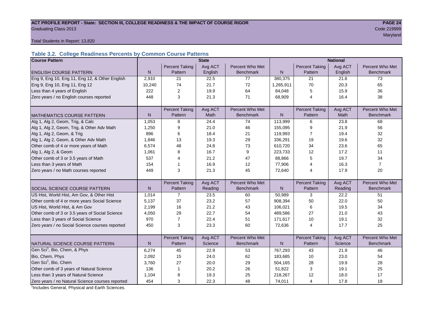# **ACT PROFILE REPORT - State: SECTION III, COLLEGE READINESS & THE IMPACT OF COURSE RIGOR PAGE 24** Graduating Class 2013 Code 219999

maryland and the control of the control of the control of the control of the control of the control of the control of the control of the control of the control of the control of the control of the control of the control of

Total Students in Report: 13,820

#### **Table 3.2. College Readiness Percents by Common Course Patterns**

| <b>Course Pattern</b>                            |              |                       | <b>State</b> |                  | <b>National</b> |                       |         |                  |  |
|--------------------------------------------------|--------------|-----------------------|--------------|------------------|-----------------|-----------------------|---------|------------------|--|
|                                                  |              | <b>Percent Taking</b> | Avg ACT      | Percent Who Met  |                 | <b>Percent Taking</b> | Avg ACT | Percent Who Met  |  |
| <b>ENGLISH COURSE PATTERN</b>                    | $\mathsf{N}$ | Pattern               | English      | <b>Benchmark</b> | N               | Pattern               | English | <b>Benchmark</b> |  |
| Eng 9, Eng 10, Eng 11, Eng 12, & Other English   | 2,910        | 21                    | 22.5         | 77               | 380,375         | 21                    | 21.6    | 73               |  |
| Eng 9, Eng 10, Eng 11, Eng 12                    | 10,240       | 74                    | 21.7         | 72               | 1,265,911       | 70                    | 20.3    | 65               |  |
| Less than 4 years of English                     | 222          | 2                     | 19.9         | 64               | 84,048          | 5                     | 15.9    | 36               |  |
| Zero years / no English courses reported         | 448          | 3                     | 21.3         | 71               | 68,909          | $\overline{4}$        | 16.4    | 38               |  |
|                                                  |              |                       |              |                  |                 |                       |         |                  |  |
|                                                  |              | <b>Percent Taking</b> | Avg ACT      | Percent Who Met  |                 | <b>Percent Taking</b> | Avg ACT | Percent Who Met  |  |
| <b>MATHEMATICS COURSE PATTERN</b>                | N            | Pattern               | <b>Math</b>  | <b>Benchmark</b> | N               | Pattern               | Math    | <b>Benchmark</b> |  |
| Alg 1, Alg 2, Geom, Trig, & Calc                 | 1,053        | 8                     | 24.4         | 74               | 113,999         | 6                     | 23.8    | 68               |  |
| Alg 1, Alg 2, Geom, Trig, & Other Adv Math       | 1,250        | 9                     | 21.0         | 46               | 155,095         | 9                     | 21.9    | 56               |  |
| Alg 1, Alg 2, Geom, & Trig                       | 896          | 6                     | 18.4         | 21               | 119,993         | 7                     | 19.4    | 32               |  |
| Alg 1, Alg 2, Geom, & Other Adv Math             | 1,846        | 13                    | 19.3         | 29               | 336,291         | 19                    | 19.6    | 32               |  |
| Other comb of 4 or more years of Math            | 6,574        | 48                    | 24.8         | 73               | 610,720         | 34                    | 23.6    | 65               |  |
| Alg 1, Alg 2, & Geom                             | 1,061        | 8                     | 16.7         | 9                | 223,733         | 12                    | 17.2    | 11               |  |
| Other comb of 3 or 3.5 years of Math             | 537          | 4                     | 21.2         | 47               | 88,866          | 5                     | 19.7    | 34               |  |
| Less than 3 years of Math                        | 154          | 1                     | 16.9         | 12               | 77,906          | 4                     | 16.3    | $\overline{7}$   |  |
| Zero years / no Math courses reported            | 449          | 3                     | 21.3         | 45               | 72,640          | 4                     | 17.9    | 20               |  |
|                                                  |              |                       |              |                  |                 |                       |         |                  |  |
|                                                  |              | <b>Percent Taking</b> | Avg ACT      | Percent Who Met  |                 | <b>Percent Taking</b> | Avg ACT | Percent Who Met  |  |
| SOCIAL SCIENCE COURSE PATTERN                    | N            | Pattern               | Reading      | <b>Benchmark</b> | $\mathsf{N}$    | Pattern               | Reading | <b>Benchmark</b> |  |
| US Hist, World Hist, Am Gov, & Other Hist        | 1,014        | $\overline{7}$        | 23.5         | 60               | 50,989          | 3                     | 22.2    | 51               |  |
| Other comb of 4 or more years Social Science     | 5,137        | 37                    | 23.2         | 57               | 908,394         | 50                    | 22.0    | 50               |  |
| US Hist, World Hist, & Am Gov                    | 2,199        | 16                    | 21.2         | 43               | 106,021         | 6                     | 19.5    | 34               |  |
| Other comb of 3 or 3.5 years of Social Science   | 4,050        | 29                    | 22.7         | 54               | 489,586         | 27                    | 21.0    | 43               |  |
| Less than 3 years of Social Science              | 970          | $\overline{7}$        | 22.4         | 51               | 171,617         | 10                    | 19.1    | 32               |  |
| Zero years / no Social Science courses reported  | 450          | 3                     | 23.3         | 60               | 72,636          | $\overline{4}$        | 17.7    | 25               |  |
|                                                  |              |                       |              |                  |                 |                       |         |                  |  |
|                                                  |              | <b>Percent Taking</b> | Avg ACT      | Percent Who Met  |                 | <b>Percent Taking</b> | Avg ACT | Percent Who Met  |  |
| NATURAL SCIENCE COURSE PATTERN                   | N            | Pattern               | Science      | <b>Benchmark</b> | N.              | Pattern               | Science | <b>Benchmark</b> |  |
| Gen Sci <sup>1</sup> , Bio, Chem, & Phys         | 6,274        | 45                    | 22.9         | 53               | 767,293         | 43                    | 21.9    | 46               |  |
| Bio, Chem, Phys                                  | 2,092        | 15                    | 24.0         | 62               | 183,685         | 10                    | 23.0    | 54               |  |
| Gen Sci <sup>1</sup> , Bio, Chem                 | 3,760        | 27                    | 20.0         | 29               | 504,165         | 28                    | 19.9    | 28               |  |
| Other comb of 3 years of Natural Science         | 136          | $\mathbf{1}$          | 20.2         | 26               | 51,822          | 3                     | 19.1    | 25               |  |
| Less than 3 years of Natural Science             | 1,104        | 8                     | 19.3         | 25               | 218,267         | 12                    | 18.0    | 17               |  |
| Zero years / no Natural Science courses reported | 454          | 3                     | 22.3         | 48               | 74,011          | 4                     | 17.8    | 18               |  |

<sup>1</sup>Includes General, Physical and Earth Sciences.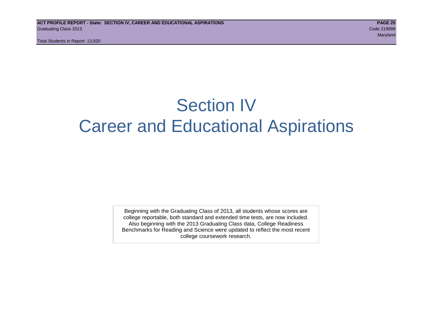# Section IV Career and Educational Aspirations

Beginning with the Graduating Class of 2013, all students whose scores are college reportable, both standard and extended time tests, are now included. Also beginning with the 2013 Graduating Class data, College Readiness Benchmarks for Reading and Science were updated to reflect the most recent college coursework research.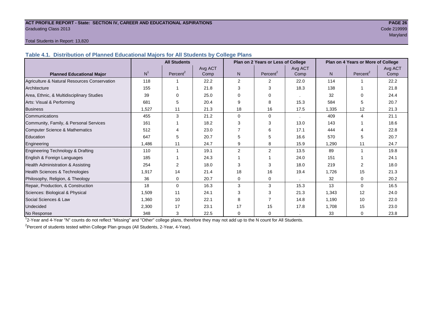#### **ACT PROFILE REPORT - State: SECTION IV, CAREER AND EDUCATIONAL ASPIRATIONS PAGE 26** Graduating Class 2013 Code 219999

maryland and the control of the control of the control of the control of the control of the control of the control of the control of the control of the control of the control of the control of the control of the control of

#### Total Students in Report: 13,820

**Table 4.1. Distribution of Planned Educational Majors for All Students by College Plans**

|                                              | <b>All Students</b><br>Plan on 2 Years or Less of College |                      |         |                | Plan on 4 Years or More of College |         |       |                         |         |
|----------------------------------------------|-----------------------------------------------------------|----------------------|---------|----------------|------------------------------------|---------|-------|-------------------------|---------|
|                                              |                                                           |                      | Avg ACT |                |                                    | Avg ACT |       |                         | Avg ACT |
| <b>Planned Educational Major</b>             | N <sup>1</sup>                                            | Percent <sup>2</sup> | Comp    | N.             | Percent <sup>2</sup>               | Comp    | N     | Percent <sup>2</sup>    | Comp    |
| Agriculture & Natural Resources Conservation | 118                                                       |                      | 22.2    | $\overline{2}$ | 2                                  | 22.0    | 114   |                         | 22.2    |
| Architecture                                 | 155                                                       |                      | 21.8    | 3              | 3                                  | 18.3    | 138   |                         | 21.8    |
| Area, Ethnic, & Multidisciplinary Studies    | 39                                                        |                      | 25.0    | 0              | 0                                  |         | 32    | $\Omega$                | 24.4    |
| Arts: Visual & Performing                    | 681                                                       | 5                    | 20.4    | 9              | 8                                  | 15.3    | 584   | 5                       | 20.7    |
| <b>Business</b>                              | 1.527                                                     | 11                   | 21.3    | 18             | 16                                 | 17.5    | 1,335 | 12                      | 21.3    |
| Communications                               | 455                                                       | 3                    | 21.2    | $\Omega$       | 0                                  |         | 409   | $\overline{4}$          | 21.1    |
| Community, Family, & Personal Services       | 161                                                       |                      | 18.2    | 3              | 3                                  | 13.0    | 143   |                         | 18.6    |
| Computer Science & Mathematics               | 512                                                       |                      | 23.0    |                | 6                                  | 17.1    | 444   |                         | 22.8    |
| Education                                    | 647                                                       | 5                    | 20.7    | 5              | 5                                  | 16.6    | 570   | 5                       | 20.7    |
| Engineering                                  | 1.486                                                     | 11                   | 24.7    | 9              | 8                                  | 15.9    | 1.290 | 11                      | 24.7    |
| Engineering Technology & Drafting            | 110                                                       |                      | 19.1    | 2              | $\overline{2}$                     | 13.5    | 89    | $\overline{\mathbf{1}}$ | 19.8    |
| English & Foreign Languages                  | 185                                                       |                      | 24.3    |                |                                    | 24.0    | 151   |                         | 24.1    |
| Health Administration & Assisting            | 254                                                       | 2                    | 18.0    | 3              | 3                                  | 18.0    | 219   | 2                       | 18.0    |
| Health Sciences & Technologies               | 1,917                                                     | 14                   | 21.4    | 18             | 16                                 | 19.4    | 1,726 | 15                      | 21.3    |
| Philosophy, Religion, & Theology             | 36                                                        | 0                    | 20.7    | 0              | 0                                  |         | 32    | $\Omega$                | 20.2    |
| Repair, Production, & Construction           | 18                                                        | $\Omega$             | 16.3    | 3              | 3                                  | 15.3    | 13    | $\Omega$                | 16.5    |
| Sciences: Biological & Physical              | 1,509                                                     | 11                   | 24.1    | 3              | 3                                  | 21.3    | 1,343 | 12                      | 24.0    |
| Social Sciences & Law                        | 1,360                                                     | 10                   | 22.1    | 8              |                                    | 14.8    | 1,190 | 10                      | 22.0    |
| Undecided                                    | 2,300                                                     | 17                   | 23.1    | 17             | 15                                 | 17.8    | 1,708 | 15                      | 23.0    |
| No Response                                  | 348                                                       | 3                    | 22.5    | $\mathbf{0}$   | 0                                  |         | 33    | $\mathbf 0$             | 23.8    |

1 2-Year and 4-Year "N" counts do not reflect "Missing" and "Other" college plans, therefore they may not add up to the N count for All Students.

<sup>2</sup> Percent of students tested within College Plan groups (All Students, 2-Year, 4-Year).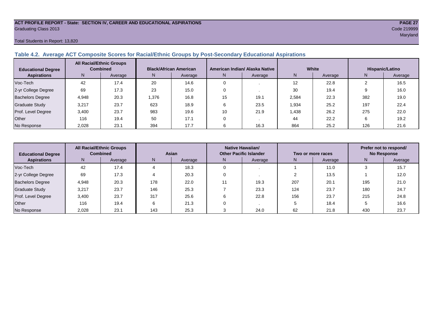# **ACT PROFILE REPORT - State: SECTION IV, CAREER AND EDUCATIONAL ASPIRATIONS PAGE 27** Graduating Class 2013 Code 219999

#### Total Students in Report: 13,820

#### **Table 4.2. Average ACT Composite Scores for Racial/Ethnic Groups by Post-Secondary Educational Aspirations**

| <b>Educational Degree</b> |       | <b>All Racial/Ethnic Groups</b><br><b>Combined</b> |      | <b>Black/African American</b> |    | American Indian/ Alaska Native |       | White   | Hispanic/Latino |         |  |
|---------------------------|-------|----------------------------------------------------|------|-------------------------------|----|--------------------------------|-------|---------|-----------------|---------|--|
| <b>Aspirations</b>        | N.    | Average                                            | N    | Average                       | N  | Average                        | Ν     | Average | N               | Average |  |
| Voc-Tech                  | 42    | 17.4                                               | 20   | 14.6                          |    |                                | 12    | 22.8    |                 | 16.5    |  |
| 2-yr College Degree       | 69    | 17.3                                               | 23   | 15.0                          |    |                                | 30    | 19.4    |                 | 16.0    |  |
| <b>Bachelors Degree</b>   | 4,948 | 20.3                                               | .376 | 16.8                          | 15 | 19.1                           | 2,584 | 22.3    | 382             | 19.0    |  |
| <b>Graduate Study</b>     | 3.217 | 23.7                                               | 623  | 18.9                          |    | 23.5                           | 1,934 | 25.2    | 197             | 22.4    |  |
| Prof. Level Degree        | 3,400 | 23.7                                               | 983  | 19.6                          | 10 | 21.9                           | 1,438 | 26.2    | 275             | 22.0    |  |
| Other                     | 116   | 19.4                                               | 50   | 17.1                          |    |                                | 44    | 22.2    |                 | 19.2    |  |
| No Response               | 2,028 | 23.1                                               | 394  | 17.7                          |    | 16.3                           | 864   | 25.2    | 126             | 21.6    |  |

| <b>Educational Degree</b> | <b>All Racial/Ethnic Groups</b><br><b>Combined</b> |         | Asian |         | Native Hawaiian/<br><b>Other Pacific Islander</b> |         | Two or more races |         | Prefer not to respond/<br><b>No Response</b> |         |  |
|---------------------------|----------------------------------------------------|---------|-------|---------|---------------------------------------------------|---------|-------------------|---------|----------------------------------------------|---------|--|
| <b>Aspirations</b>        | N                                                  | Average | N     | Average | N                                                 | Average | N                 | Average | N                                            | Average |  |
| Voc-Tech                  | 42                                                 | 17.4    |       | 18.3    |                                                   |         |                   | 11.0    |                                              | 15.7    |  |
| 2-yr College Degree       | 69                                                 | 17.3    |       | 20.3    |                                                   |         |                   | 13.5    |                                              | 12.0    |  |
| <b>Bachelors Degree</b>   | 4,948                                              | 20.3    | 178   | 22.0    |                                                   | 19.3    | 207               | 20.7    | 195                                          | 21.0    |  |
| Graduate Study            | 3,217                                              | 23.7    | 146   | 25.3    |                                                   | 23.3    | 124               | 23.7    | 180                                          | 24.7    |  |
| Prof. Level Degree        | 3.400                                              | 23.7    | 317   | 25.6    |                                                   | 22.8    | 156               | 23.7    | 215                                          | 24.8    |  |
| Other                     | 116                                                | 19.4    | 6     | 21.3    |                                                   |         |                   | 18.4    |                                              | 16.6    |  |
| No Response               | 2,028                                              | 23.1    | 143   | 25.3    |                                                   | 24.0    | 62                | 21.8    | 430                                          | 23.7    |  |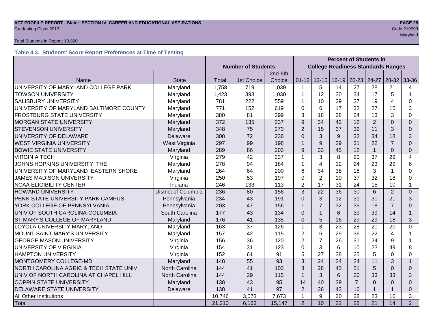# **ACT PROFILE REPORT - State: SECTION IV, CAREER AND EDUCATIONAL ASPIRATIONS PAGE 28** Graduating Class 2013 Code 219999

#### Total Students in Report: 13,820

### **Table 4.3. Students' Score Report Preferences at Time of Testing**

|                                         |                             | <b>Percent of Students in</b> |                                           |         |                |                  |              |                |                |                         |                |
|-----------------------------------------|-----------------------------|-------------------------------|-------------------------------------------|---------|----------------|------------------|--------------|----------------|----------------|-------------------------|----------------|
|                                         |                             | <b>Number of Students</b>     | <b>College Readiness Standards Ranges</b> |         |                |                  |              |                |                |                         |                |
|                                         |                             |                               |                                           | 2nd-6th |                |                  |              |                |                |                         |                |
| Name                                    | <b>State</b>                | Total                         | 1st Choice                                | Choice  | $01 - 12$      | $13 - 15$        | 16-19        | $20 - 23$      | 24-27          | 28-32                   | 33-36          |
| UNIVERSITY OF MARYLAND COLLEGE PARK     | Maryland                    | 1,758                         | 719                                       | 1,039   | $\mathbf 1$    | 5                | 14           | 27             | 28             | 21                      | 4              |
| <b>TOWSON UNIVERSITY</b>                | Maryland                    | 1,423                         | 393                                       | 1,030   | 1              | 12               | 30           | 34             | 17             | 5                       |                |
| <b>SALISBURY UNIVERSITY</b>             | Maryland                    | 781                           | 222                                       | 559     | 1              | 10               | 29           | 37             | 19             | $\overline{\mathbf{A}}$ | 0              |
| UNIVERSITY OF MARYLAND BALTIMORE COUNTY | Maryland                    | 771                           | 152                                       | 619     | $\Omega$       | 6                | 17           | 32             | 27             | 15                      | 3              |
| <b>FROSTBURG STATE UNIVERSITY</b>       | Maryland                    | 380                           | 81                                        | 299     | 3              | 18               | 38           | 24             | 13             | 3                       | $\Omega$       |
| <b>MORGAN STATE UNIVERSITY</b>          | Maryland                    | 372                           | 135                                       | 237     | 9              | 34               | 42           | 12             | $\overline{2}$ | $\Omega$                | $\mathbf{0}$   |
| <b>STEVENSON UNIVERSITY</b>             | Maryland                    | 348                           | 75                                        | 273     | $\overline{2}$ | 15               | 37           | 32             | 11             | 3                       | $\Omega$       |
| UNIVERSITY OF DELAWARE                  | Delaware                    | 308                           | 72                                        | 236     | $\Omega$       | 3                | 9            | 32             | 34             | 18                      | 3              |
| <b>WEST VIRGINIA UNIVERSITY</b>         | West Virginia               | 297                           | 99                                        | 198     | $\mathbf{1}$   | 9                | 29           | 31             | 22             | $\overline{7}$          | $\Omega$       |
| <b>BOWIE STATE UNIVERSITY</b>           | Maryland                    | 289                           | 86                                        | 203     | 9              | 33               | 45           | 12             | $\mathbf{1}$   | $\overline{0}$          | $\Omega$       |
| <b>VIRGINIA TECH</b>                    | Virginia                    | 279                           | 42                                        | 237     | 1              | 3                | 8            | 20             | 37             | 29                      | $\overline{4}$ |
| JOHNS HOPKINS UNIVERSITY THE            | Maryland                    | 278                           | 94                                        | 184     | 1              | 4                | 12           | 24             | 23             | 29                      | 6              |
| UNIVERSITY OF MARYLAND EASTERN SHORE    | Maryland                    | 264                           | 64                                        | 200     | 6              | 34               | 38           | 18             | 3              |                         | $\Omega$       |
| <b>JAMES MADISON UNIVERSITY</b>         | Virginia                    | 250                           | 53                                        | 197     | $\Omega$       | $\overline{2}$   | 10           | 37             | 32             | 18                      | $\Omega$       |
| <b>NCAA ELIGIBILITY CENTER</b>          | Indiana                     | 246                           | 133                                       | 113     | $\overline{2}$ | 17               | 31           | 24             | 15             | 10                      | 1              |
| <b>HOWARD UNIVERSITY</b>                | <b>District of Columbia</b> | 236                           | 80                                        | 156     | 3              | 22               | 36           | 30             | 6              | $\overline{2}$          | $\mathbf{0}$   |
| PENN STATE-UNIVERSITY PARK CAMPUS       | Pennsylvania                | 234                           | 43                                        | 191     | $\Omega$       | 3                | 12           | 31             | 30             | 21                      | 3              |
| YORK COLLEGE OF PENNSYLVANIA            | Pennsylvania                | 203                           | 47                                        | 156     | $\mathbf{1}$   | $\overline{7}$   | 32           | 35             | 18             | $\overline{7}$          | $\Omega$       |
| UNIV OF SOUTH CAROLINA-COLUMBIA         | South Carolina              | 177                           | 43                                        | 134     | $\Omega$       | $\mathbf{1}$     | 6            | 39             | 39             | 14                      |                |
| ST MARY'S COLLEGE OF MARYLAND           | Maryland                    | 176                           | 41                                        | 135     | $\Omega$       | 5                | 16           | 29             | 29             | 18                      | 3              |
| LOYOLA UNIVERSITY MARYLAND              | Maryland                    | 163                           | 37                                        | 126     | $\mathbf{1}$   | 8                | 23           | 28             | 20             | 20                      | $\Omega$       |
| MOUNT SAINT MARY'S UNIVERSITY           | Maryland                    | 157                           | 42                                        | 115     | $\overline{2}$ | 6                | 29           | 36             | 22             | 4                       |                |
| <b>GEORGE MASON UNIVERSITY</b>          | Virginia                    | 156                           | 36                                        | 120     | $\overline{2}$ | $\overline{7}$   | 26           | 31             | 24             | 9                       |                |
| UNIVERSITY OF VIRGINIA                  | Virginia                    | 154                           | 31                                        | 123     | $\Omega$       | 3                | 6            | 10             | 23             | 49                      | 8              |
| <b>HAMPTON UNIVERSITY</b>               | Virginia                    | 152                           | 61                                        | 91      | 5              | 27               | 38           | 25             | 5              | $\Omega$                | $\Omega$       |
| MONTGOMERY COLLEGE-MD                   | Maryland                    | 148                           | 55                                        | 93      | 3              | 24               | 34           | 24             | 11             | 3                       | $\mathbf{1}$   |
| NORTH CAROLINA AGRIC & TECH STATE UNIV  | North Carolina              | 144                           | 41                                        | 103     | 3              | 28               | 43           | 21             | 5              | $\Omega$                | $\Omega$       |
| UNIV OF NORTH CAROLINA AT CHAPEL HILL   | North Carolina              | 144                           | 29                                        | 115     | $\mathbf{1}$   | 3                | 6            | 20             | 33             | 33                      | 3              |
| <b>COPPIN STATE UNIVERSITY</b>          | Maryland                    | 138                           | 43                                        | 95      | 14             | 40               | 39           | $\overline{7}$ | $\Omega$       | $\Omega$                | $\Omega$       |
| DELAWARE STATE UNIVERSITY               | 138<br>41<br>97<br>Delaware |                               | $\overline{2}$                            | 36      | 43             | 16               | $\mathbf{1}$ |                | $\Omega$       |                         |                |
| All Other Institutions                  |                             | 10,746                        | 3,073                                     | 7,673   | 1              | $\boldsymbol{9}$ | 20           | 28             | 23             | 16                      | 3              |
| Total                                   |                             | 21,310                        | 6,163                                     | 15,147  | $\overline{2}$ | 10               | 22           | 28             | 21             | 14                      | $\overline{2}$ |

maryland and the control of the control of the control of the control of the control of the control of the control of the control of the control of the control of the control of the control of the control of the control of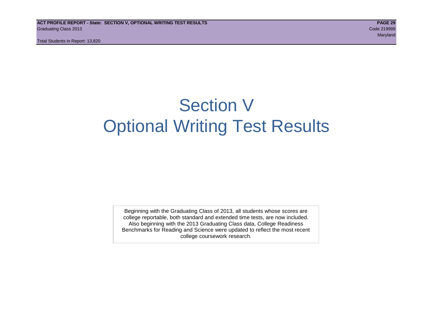# Section V Optional Writing Test Results

Beginning with the Graduating Class of 2013, all students whose scores are college reportable, both standard and extended time tests, are now included. Also beginning with the 2013 Graduating Class data, College Readiness Benchmarks for Reading and Science were updated to reflect the most recent college coursework research.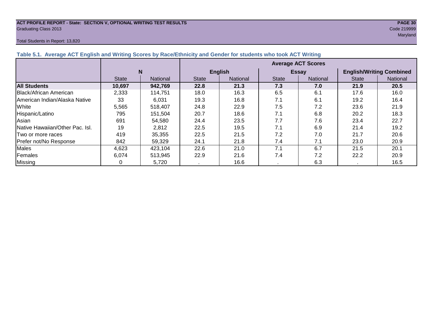#### **ACT PROFILE REPORT - State: SECTION V, OPTIONAL WRITING TEST RESULTS PAGE 30** Graduating Class 2013 Code 219999

#### Total Students in Report: 13,820

maryland and the control of the control of the control of the control of the control of the control of the control of the control of the control of the control of the control of the control of the control of the control of

| Table 5.1. Average ACT English and Writing Scores by Race/Ethnicity and Gender for students who took ACT Writing |              |                 |                           |          |              |              |                                 |          |  |  |  |
|------------------------------------------------------------------------------------------------------------------|--------------|-----------------|---------------------------|----------|--------------|--------------|---------------------------------|----------|--|--|--|
|                                                                                                                  |              |                 | <b>Average ACT Scores</b> |          |              |              |                                 |          |  |  |  |
|                                                                                                                  | N            |                 | <b>English</b>            |          |              | <b>Essay</b> | <b>English/Writing Combined</b> |          |  |  |  |
|                                                                                                                  | <b>State</b> | <b>National</b> | <b>State</b>              | National | <b>State</b> | National     | <b>State</b>                    | National |  |  |  |
| <b>All Students</b>                                                                                              | 10,697       | 942,769         | 22.8                      | 21.3     | 7.3          | 7.0          | 21.9                            | 20.5     |  |  |  |
| <b>IBlack/African American</b>                                                                                   | 2,333        | 114,751         | 18.0                      | 16.3     | 6.5          | 6.1          | 17.6                            | 16.0     |  |  |  |
| American Indian/Alaska Native                                                                                    | 33           | 6,031           | 19.3                      | 16.8     | 7.1          | 6.1          | 19.2                            | 16.4     |  |  |  |
| White                                                                                                            | 5,565        | 518.407         | 24.8                      | 22.9     | 7.5          | 7.2          | 23.6                            | 21.9     |  |  |  |
| Hispanic/Latino                                                                                                  | 795          | 151.504         | 20.7                      | 18.6     | 7.1          | 6.8          | 20.2                            | 18.3     |  |  |  |
| Asian                                                                                                            | 691          | 54,580          | 24.4                      | 23.5     | 7.7          | 7.6          | 23.4                            | 22.7     |  |  |  |
| Native Hawaiian/Other Pac. Isl.                                                                                  | 19           | 2,812           | 22.5                      | 19.5     | 7.1          | 6.9          | 21.4                            | 19.2     |  |  |  |
| ITwo or more races                                                                                               | 419          | 35,355          | 22.5                      | 21.5     | 7.2          | 7.0          | 21.7                            | 20.6     |  |  |  |
| Prefer not/No Response                                                                                           | 842          | 59,329          | 24.1                      | 21.8     | 7.4          | 7.1          | 23.0                            | 20.9     |  |  |  |
| <b>Males</b>                                                                                                     | 4,623        | 423,104         | 22.6                      | 21.0     | 7.1          | 6.7          | 21.5                            | 20.1     |  |  |  |
| Females                                                                                                          | 6,074        | 513.945         | 22.9                      | 21.6     | 7.4          | 7.2          | 22.2                            | 20.9     |  |  |  |
| Missing                                                                                                          |              | 5,720           |                           | 16.6     |              | 6.3          |                                 | 16.5     |  |  |  |